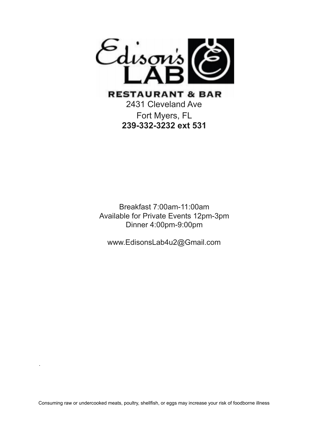

Fort Myers, FL **239-332-3232 ext 531**

Breakfast 7:00am-11:00am Available for Private Events 12pm-3pm Dinner 4:00pm-9:00pm

www.EdisonsLab4u2@Gmail.com

.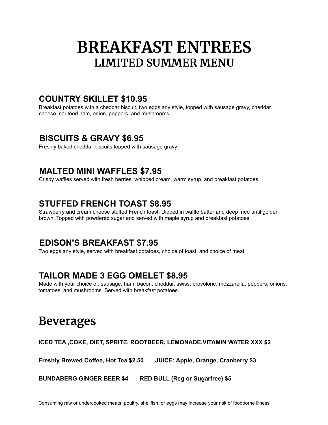# **BREAKFAST ENTREES LIMITED SUMMER MENU**

### **COUNTRY SKILLET \$10.95**

Breakfast potatoes with a cheddar biscuit, two eggs any style, topped with sausage gravy, cheddar cheese, sautéed ham, onion, peppers, and mushrooms.

## **BISCUITS & GRAVY \$6.95**

Freshly baked cheddar biscuits topped with sausage gravy

### **MALTED MINI WAFFLES \$7.95**

Crispy waffles served with fresh berries, whipped cream, warm syrup, and breakfast potatoes.

## **STUFFED FRENCH TOAST \$8.95**

Strawberry and cream cheese stuffed French toast. Dipped in waffle batter and deep fried until golden brown. Topped with powdered sugar and served with maple syrup and breakfast potatoes.

## **EDISON'S BREAKFAST \$7.95**

Two eggs any style, served with breakfast potatoes, choice of toast, and choice of meat.

## **TAILOR MADE 3 EGG OMELET \$8.95**

Made with your choice of: sausage, ham, bacon, cheddar, swiss, provolone, mozzarella, peppers, onions, tomatoes, and mushrooms. Served with breakfast potatoes.

## **Beverages**

#### **ICED TEA ,COKE, DIET, SPRITE, ROOTBEER, LEMONADE,VITAMIN WATER XXX \$2**

**Freshly Brewed Coffee, Hot Tea \$2.50 JUICE: Apple, Orange, Cranberry \$3**

**BUNDABERG GINGER BEER \$4 RED BULL (Reg or Sugarfree) \$5**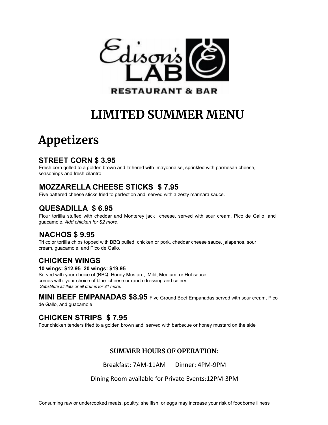

# **LIMITED SUMMER MENU**

# **Appetizers**

#### **STREET CORN \$ 3.95**

Fresh corn grilled to a golden brown and lathered with mayonnaise, sprinkled with parmesan cheese, seasonings and fresh cilantro.

### **MOZZARELLA CHEESE STICKS \$ 7.95**

Five battered cheese sticks fried to perfection and served with a zesty marinara sauce.

#### **QUESADILLA \$ 6.95**

Flour tortilla stuffed with cheddar and Monterey jack cheese, served with sour cream, Pico de Gallo, and guacamole. *Add chicken for \$2 more*.

#### **NACHOS \$ 9.95**

Tri color tortilla chips topped with BBQ pulled chicken or pork, cheddar cheese sauce, jalapenos, sour cream, guacamole, and Pico de Gallo.

### **CHICKEN WINGS**

#### **10 wings: \$12.95 20 wings: \$19.95**

Served with your choice of (BBQ, Honey Mustard, Mild, Medium, or Hot sauce; comes with your choice of blue cheese or ranch dressing and celery. *Substitute all flats or all drums for \$1 more.*

#### **MINI BEEF EMPANADAS \$8.95** Five Ground Beef Empanadas served with sour cream, Pico

de Gallo, and guacamole

#### **CHICKEN STRIPS \$ 7.95**

Four chicken tenders fried to a golden brown and served with barbecue or honey mustard on the side

#### **SUMMER HOURS OF OPERATION:**

Breakfast: 7AM-11AM Dinner: 4PM-9PM

Dining Room available for Private Events:12PM-3PM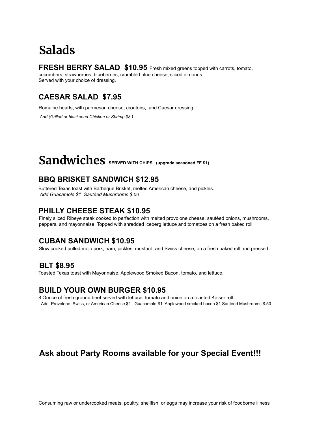## **Salads**

#### **FRESH BERRY SALAD \$10.95** Fresh mixed greens topped with carrots, tomato,

cucumbers, strawberries, blueberries, crumbled blue cheese, sliced almonds. Served with your choice of dressing.

### **CAESAR SALAD \$7.95**

Romaine hearts, with parmesan cheese, croutons, and Caesar dressing.

*Add (Grilled or blackened Chicken or Shrimp \$3 )*

# $Sandwiches$  **SERVED WITH CHIPS** (upgrade seasoned FF \$1)

#### **BBQ BRISKET SANDWICH \$12.95**

Buttered Texas toast with Barbeque Brisket, melted American cheese, and pickles. *Add Guacamole \$1 Sautéed Mushrooms \$.50*

#### **PHILLY CHEESE STEAK \$10.95**

Finely sliced Ribeye steak cooked to perfection with melted provolone cheese, sautéed onions, mushrooms, peppers, and mayonnaise. Topped with shredded iceberg lettuce and tomatoes on a fresh baked roll.

#### **CUBAN SANDWICH \$10.95**

Slow cooked pulled mojo pork, ham, pickles, mustard, and Swiss cheese, on a fresh baked roll and pressed.

#### **BLT \$8.95**

Toasted Texas toast with Mayonnaise, Applewood Smoked Bacon, tomato, and lettuce.

#### **BUILD YOUR OWN BURGER \$10.95**

8 Ounce of fresh ground beef served with lettuce, tomato and onion on a toasted Kaiser roll. Add Provolone, Swiss, or American Cheese \$1 Guacamole \$1 Applewood smoked bacon \$1 Sauteed Mushrooms \$.50

## **Ask about Party Rooms available for your Special Event!!!**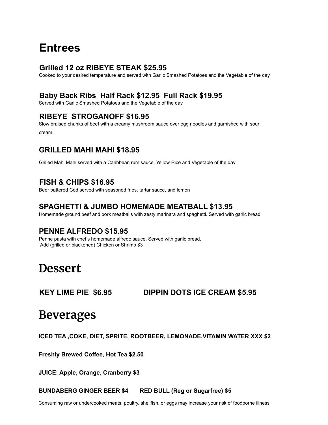## **Entrees**

#### **Grilled 12 oz RIBEYE STEAK \$25.95**

Cooked to your desired temperature and served with Garlic Smashed Potatoes and the Vegetable of the day

#### **Baby Back Ribs Half Rack \$12.95 Full Rack \$19.95**

Served with Garlic Smashed Potatoes and the Vegetable of the day

#### **RIBEYE STROGANOFF \$16.95**

Slow braised chunks of beef with a creamy mushroom sauce over egg noodles and garnished with sour cream.

#### **GRILLED MAHI MAHI \$18.95**

Grilled Mahi Mahi served with a Caribbean rum sauce, Yellow Rice and Vegetable of the day

#### **FISH & CHIPS \$16.95**

Beer battered Cod served with seasoned fries, tartar sauce, and lemon

#### **SPAGHETTI & JUMBO HOMEMADE MEATBALL \$13.95**

Homemade ground beef and pork meatballs with zesty marinara and spaghetti. Served with garlic bread

#### **PENNE ALFREDO \$15.95**

Penne pasta with chef's homemade alfredo sauce. Served with garlic bread. Add (grilled or blackened) Chicken or Shrimp \$3

## **Dessert**

#### **KEY LIME PIE \$6.95 DIPPIN DOTS ICE CREAM \$5.95**

## **Beverages**

**ICED TEA ,COKE, DIET, SPRITE, ROOTBEER, LEMONADE,VITAMIN WATER XXX \$2**

**Freshly Brewed Coffee, Hot Tea \$2.50**

**JUICE: Apple, Orange, Cranberry \$3**

**BUNDABERG GINGER BEER \$4 RED BULL (Reg or Sugarfree) \$5**